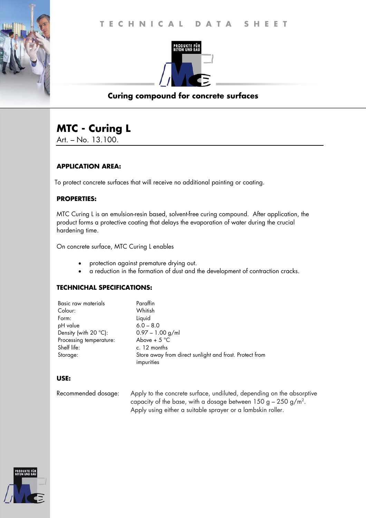

# **Curing compound for concrete surfaces**

# **MTC - Curing L**

Art. – No. 13.100.

# **APPLICATION AREA:**

To protect concrete surfaces that will receive no additional painting or coating.

## **PROPERTIES:**

MTC Curing L is an emulsion-resin based, solvent-free curing compound. After application, the product forms a protective coating that delays the evaporation of water during the crucial hardening time.

On concrete surface, MTC Curing L enables

- protection against premature drying out.
- a reduction in the formation of dust and the development of contraction cracks.

#### **TECHNICHAL SPECIFICATIONS:**

| Basic raw materials     | Paraffin                                                |
|-------------------------|---------------------------------------------------------|
| Colour:                 | Whitish                                                 |
| Form:                   | Liquid                                                  |
| pH value                | $6.0 - 8.0$                                             |
| Density (with 20 °C):   | $0.97 - 1.00$ g/ml                                      |
| Processing temperature: | Above + $5^{\circ}$ C                                   |
| Shelf life:             | c. 12 months                                            |
| Storage:                | Store away from direct sunlight and frost. Protect from |
|                         | impurities                                              |

#### **USE:**

| Recommended dosage: | Apply to the concrete surface, undiluted, depending on the absorptive |
|---------------------|-----------------------------------------------------------------------|
|                     | capacity of the base, with a dosage between $150 g - 250 g/m^2$ .     |
|                     | Apply using either a suitable sprayer or a lambskin roller.           |